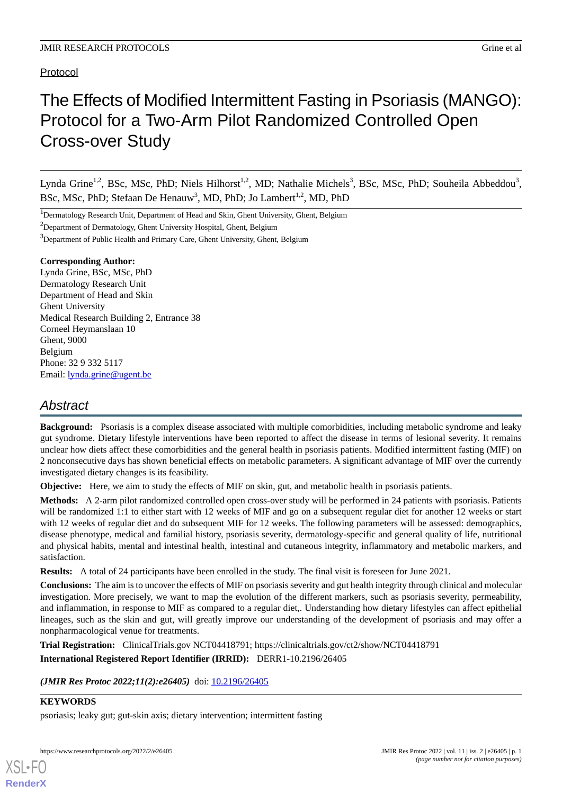#### Protocol

# The Effects of Modified Intermittent Fasting in Psoriasis (MANGO): Protocol for a Two-Arm Pilot Randomized Controlled Open Cross-over Study

Lynda Grine<sup>1,2</sup>, BSc, MSc, PhD; Niels Hilhorst<sup>1,2</sup>, MD; Nathalie Michels<sup>3</sup>, BSc, MSc, PhD; Souheila Abbeddou<sup>3</sup>, BSc, MSc, PhD; Stefaan De Henauw<sup>3</sup>, MD, PhD; Jo Lambert<sup>1,2</sup>, MD, PhD

<sup>1</sup>Dermatology Research Unit, Department of Head and Skin, Ghent University, Ghent, Belgium

<sup>2</sup>Department of Dermatology, Ghent University Hospital, Ghent, Belgium

<sup>3</sup>Department of Public Health and Primary Care, Ghent University, Ghent, Belgium

#### **Corresponding Author:**

Lynda Grine, BSc, MSc, PhD Dermatology Research Unit Department of Head and Skin Ghent University Medical Research Building 2, Entrance 38 Corneel Heymanslaan 10 Ghent, 9000 Belgium Phone: 32 9 332 5117 Email: **[lynda.grine@ugent.be](mailto:lynda.grine@ugent.be)** 

# *Abstract*

**Background:** Psoriasis is a complex disease associated with multiple comorbidities, including metabolic syndrome and leaky gut syndrome. Dietary lifestyle interventions have been reported to affect the disease in terms of lesional severity. It remains unclear how diets affect these comorbidities and the general health in psoriasis patients. Modified intermittent fasting (MIF) on 2 nonconsecutive days has shown beneficial effects on metabolic parameters. A significant advantage of MIF over the currently investigated dietary changes is its feasibility.

**Objective:** Here, we aim to study the effects of MIF on skin, gut, and metabolic health in psoriasis patients.

**Methods:** A 2-arm pilot randomized controlled open cross-over study will be performed in 24 patients with psoriasis. Patients will be randomized 1:1 to either start with 12 weeks of MIF and go on a subsequent regular diet for another 12 weeks or start with 12 weeks of regular diet and do subsequent MIF for 12 weeks. The following parameters will be assessed: demographics, disease phenotype, medical and familial history, psoriasis severity, dermatology-specific and general quality of life, nutritional and physical habits, mental and intestinal health, intestinal and cutaneous integrity, inflammatory and metabolic markers, and satisfaction.

**Results:** A total of 24 participants have been enrolled in the study. The final visit is foreseen for June 2021.

**Conclusions:** The aim is to uncover the effects of MIF on psoriasis severity and gut health integrity through clinical and molecular investigation. More precisely, we want to map the evolution of the different markers, such as psoriasis severity, permeability, and inflammation, in response to MIF as compared to a regular diet,. Understanding how dietary lifestyles can affect epithelial lineages, such as the skin and gut, will greatly improve our understanding of the development of psoriasis and may offer a nonpharmacological venue for treatments.

**Trial Registration:** ClinicalTrials.gov NCT04418791; https://clinicaltrials.gov/ct2/show/NCT04418791

**International Registered Report Identifier (IRRID):** DERR1-10.2196/26405

*(JMIR Res Protoc 2022;11(2):e26405)* doi: [10.2196/26405](http://dx.doi.org/10.2196/26405)

#### **KEYWORDS**

[XSL](http://www.w3.org/Style/XSL)•FO **[RenderX](http://www.renderx.com/)**

psoriasis; leaky gut; gut-skin axis; dietary intervention; intermittent fasting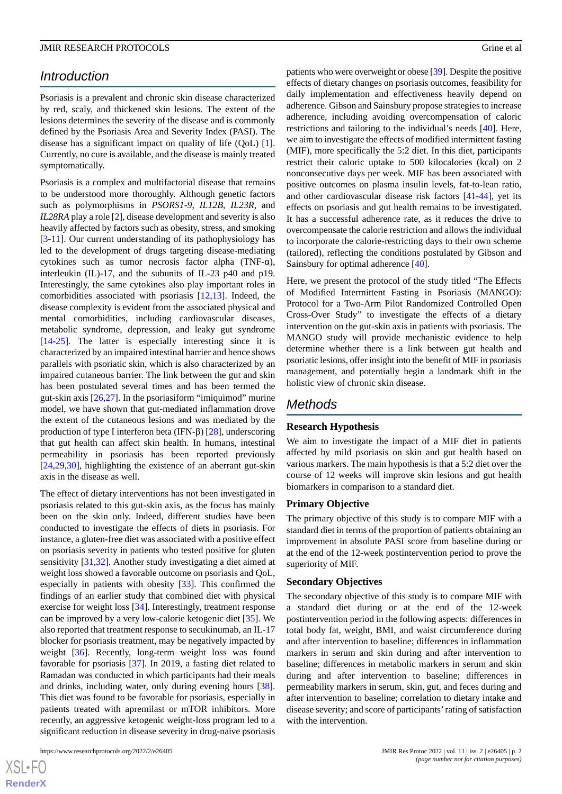### *Introduction*

Psoriasis is a prevalent and chronic skin disease characterized by red, scaly, and thickened skin lesions. The extent of the lesions determines the severity of the disease and is commonly defined by the Psoriasis Area and Severity Index (PASI). The disease has a significant impact on quality of life (QoL) [[1\]](#page-5-0). Currently, no cure is available, and the disease is mainly treated symptomatically.

Psoriasis is a complex and multifactorial disease that remains to be understood more thoroughly. Although genetic factors such as polymorphisms in *PSORS1-9*, *IL12B*, *IL23R*, and *IL28RA* play a role [[2](#page-5-1)], disease development and severity is also heavily affected by factors such as obesity, stress, and smoking [[3](#page-6-0)[-11](#page-6-1)]. Our current understanding of its pathophysiology has led to the development of drugs targeting disease-mediating cytokines such as tumor necrosis factor alpha (TNF-α), interleukin (IL)-17, and the subunits of IL-23 p40 and p19. Interestingly, the same cytokines also play important roles in comorbidities associated with psoriasis [\[12](#page-6-2),[13\]](#page-6-3). Indeed, the disease complexity is evident from the associated physical and mental comorbidities, including cardiovascular diseases, metabolic syndrome, depression, and leaky gut syndrome [[14](#page-6-4)[-25](#page-6-5)]. The latter is especially interesting since it is characterized by an impaired intestinal barrier and hence shows parallels with psoriatic skin, which is also characterized by an impaired cutaneous barrier. The link between the gut and skin has been postulated several times and has been termed the gut-skin axis  $[26,27]$  $[26,27]$  $[26,27]$ . In the psoriasiform "imiquimod" murine model, we have shown that gut-mediated inflammation drove the extent of the cutaneous lesions and was mediated by the production of type I interferon beta (IFN-β) [\[28](#page-7-2)], underscoring that gut health can affect skin health. In humans, intestinal permeability in psoriasis has been reported previously [[24](#page-6-6)[,29](#page-7-3),[30\]](#page-7-4), highlighting the existence of an aberrant gut-skin axis in the disease as well.

The effect of dietary interventions has not been investigated in psoriasis related to this gut-skin axis, as the focus has mainly been on the skin only. Indeed, different studies have been conducted to investigate the effects of diets in psoriasis. For instance, a gluten-free diet was associated with a positive effect on psoriasis severity in patients who tested positive for gluten sensitivity [\[31](#page-7-5),[32\]](#page-7-6). Another study investigating a diet aimed at weight loss showed a favorable outcome on psoriasis and QoL, especially in patients with obesity [\[33](#page-7-7)]. This confirmed the findings of an earlier study that combined diet with physical exercise for weight loss [[34\]](#page-7-8). Interestingly, treatment response can be improved by a very low-calorie ketogenic diet [\[35](#page-7-9)]. We also reported that treatment response to secukinumab, an IL-17 blocker for psoriasis treatment, may be negatively impacted by weight [\[36](#page-7-10)]. Recently, long-term weight loss was found favorable for psoriasis [[37\]](#page-7-11). In 2019, a fasting diet related to Ramadan was conducted in which participants had their meals and drinks, including water, only during evening hours [[38\]](#page-7-12). This diet was found to be favorable for psoriasis, especially in patients treated with apremilast or mTOR inhibitors. More recently, an aggressive ketogenic weight-loss program led to a significant reduction in disease severity in drug-naive psoriasis

 $XS$  • FO **[RenderX](http://www.renderx.com/)** patients who were overweight or obese [\[39\]](#page-7-13). Despite the positive effects of dietary changes on psoriasis outcomes, feasibility for daily implementation and effectiveness heavily depend on adherence. Gibson and Sainsbury propose strategies to increase adherence, including avoiding overcompensation of caloric restrictions and tailoring to the individual's needs [[40\]](#page-7-14). Here, we aim to investigate the effects of modified intermittent fasting (MIF), more specifically the 5:2 diet. In this diet, participants restrict their caloric uptake to 500 kilocalories (kcal) on 2 nonconsecutive days per week. MIF has been associated with positive outcomes on plasma insulin levels, fat-to-lean ratio, and other cardiovascular disease risk factors [\[41](#page-7-15)-[44\]](#page-7-16), yet its effects on psoriasis and gut health remains to be investigated. It has a successful adherence rate, as it reduces the drive to overcompensate the calorie restriction and allows the individual to incorporate the calorie-restricting days to their own scheme (tailored), reflecting the conditions postulated by Gibson and Sainsbury for optimal adherence [[40\]](#page-7-14).

Here, we present the protocol of the study titled "The Effects of Modified Intermittent Fasting in Psoriasis (MANGO): Protocol for a Two-Arm Pilot Randomized Controlled Open Cross-Over Study" to investigate the effects of a dietary intervention on the gut-skin axis in patients with psoriasis. The MANGO study will provide mechanistic evidence to help determine whether there is a link between gut health and psoriatic lesions, offer insight into the benefit of MIF in psoriasis management, and potentially begin a landmark shift in the holistic view of chronic skin disease.

#### *Methods*

#### **Research Hypothesis**

We aim to investigate the impact of a MIF diet in patients affected by mild psoriasis on skin and gut health based on various markers. The main hypothesis is that a 5:2 diet over the course of 12 weeks will improve skin lesions and gut health biomarkers in comparison to a standard diet.

#### **Primary Objective**

The primary objective of this study is to compare MIF with a standard diet in terms of the proportion of patients obtaining an improvement in absolute PASI score from baseline during or at the end of the 12-week postintervention period to prove the superiority of MIF.

#### **Secondary Objectives**

The secondary objective of this study is to compare MIF with a standard diet during or at the end of the 12-week postintervention period in the following aspects: differences in total body fat, weight, BMI, and waist circumference during and after intervention to baseline; differences in inflammation markers in serum and skin during and after intervention to baseline; differences in metabolic markers in serum and skin during and after intervention to baseline; differences in permeability markers in serum, skin, gut, and feces during and after intervention to baseline; correlation to dietary intake and disease severity; and score of participants'rating of satisfaction with the intervention.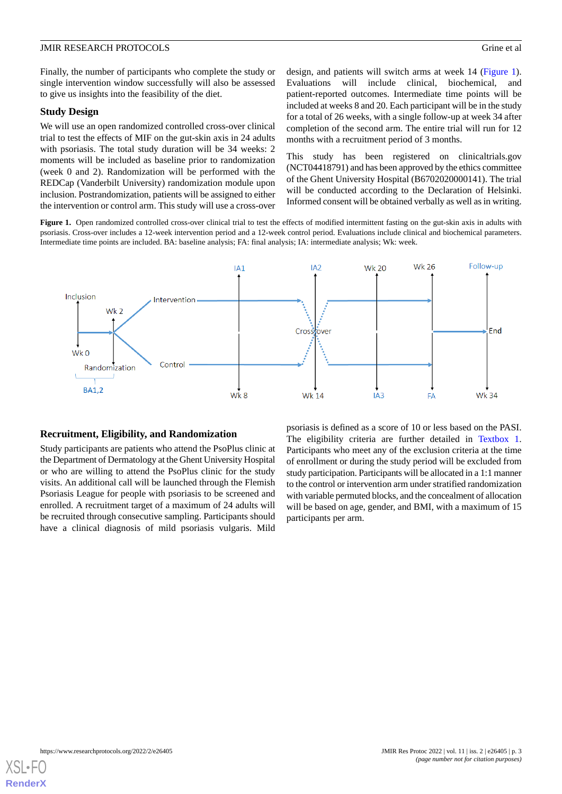Finally, the number of participants who complete the study or single intervention window successfully will also be assessed to give us insights into the feasibility of the diet.

#### **Study Design**

We will use an open randomized controlled cross-over clinical trial to test the effects of MIF on the gut-skin axis in 24 adults with psoriasis. The total study duration will be 34 weeks: 2 moments will be included as baseline prior to randomization (week 0 and 2). Randomization will be performed with the REDCap (Vanderbilt University) randomization module upon inclusion. Postrandomization, patients will be assigned to either the intervention or control arm. This study will use a cross-over

design, and patients will switch arms at week 14 [\(Figure 1\)](#page-2-0). Evaluations will include clinical, biochemical, and patient-reported outcomes. Intermediate time points will be included at weeks 8 and 20. Each participant will be in the study for a total of 26 weeks, with a single follow-up at week 34 after completion of the second arm. The entire trial will run for 12 months with a recruitment period of 3 months.

This study has been registered on clinicaltrials.gov (NCT04418791) and has been approved by the ethics committee of the Ghent University Hospital (B6702020000141). The trial will be conducted according to the Declaration of Helsinki. Informed consent will be obtained verbally as well as in writing.

<span id="page-2-0"></span>Figure 1. Open randomized controlled cross-over clinical trial to test the effects of modified intermittent fasting on the gut-skin axis in adults with psoriasis. Cross-over includes a 12-week intervention period and a 12-week control period. Evaluations include clinical and biochemical parameters. Intermediate time points are included. BA: baseline analysis; FA: final analysis; IA: intermediate analysis; Wk: week.



#### **Recruitment, Eligibility, and Randomization**

Study participants are patients who attend the PsoPlus clinic at the Department of Dermatology at the Ghent University Hospital or who are willing to attend the PsoPlus clinic for the study visits. An additional call will be launched through the Flemish Psoriasis League for people with psoriasis to be screened and enrolled. A recruitment target of a maximum of 24 adults will be recruited through consecutive sampling. Participants should have a clinical diagnosis of mild psoriasis vulgaris. Mild

psoriasis is defined as a score of 10 or less based on the PASI. The eligibility criteria are further detailed in [Textbox 1](#page-3-0). Participants who meet any of the exclusion criteria at the time of enrollment or during the study period will be excluded from study participation. Participants will be allocated in a 1:1 manner to the control or intervention arm under stratified randomization with variable permuted blocks, and the concealment of allocation will be based on age, gender, and BMI, with a maximum of 15 participants per arm.

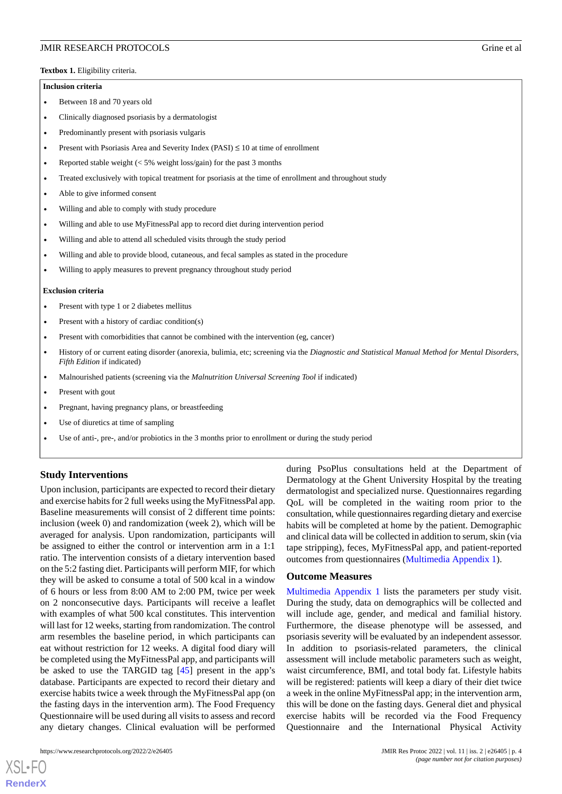<span id="page-3-0"></span>**Textbox 1.** Eligibility criteria.

#### **Inclusion criteria**

- Between 18 and 70 years old
- Clinically diagnosed psoriasis by a dermatologist
- Predominantly present with psoriasis vulgaris
- Present with Psoriasis Area and Severity Index (PASI)  $\leq 10$  at time of enrollment
- Reported stable weight  $\langle$  < 5% weight loss/gain) for the past 3 months
- Treated exclusively with topical treatment for psoriasis at the time of enrollment and throughout study
- Able to give informed consent
- Willing and able to comply with study procedure
- Willing and able to use MyFitnessPal app to record diet during intervention period
- Willing and able to attend all scheduled visits through the study period
- Willing and able to provide blood, cutaneous, and fecal samples as stated in the procedure
- Willing to apply measures to prevent pregnancy throughout study period

#### **Exclusion criteria**

- Present with type 1 or 2 diabetes mellitus
- Present with a history of cardiac condition(s)
- Present with comorbidities that cannot be combined with the intervention (eg, cancer)
- History of or current eating disorder (anorexia, bulimia, etc; screening via the *Diagnostic and Statistical Manual Method for Mental Disorders, Fifth Edition* if indicated)
- Malnourished patients (screening via the *Malnutrition Universal Screening Tool* if indicated)
- Present with gout
- Pregnant, having pregnancy plans, or breastfeeding
- Use of diuretics at time of sampling
- Use of anti-, pre-, and/or probiotics in the 3 months prior to enrollment or during the study period

#### **Study Interventions**

Upon inclusion, participants are expected to record their dietary and exercise habits for 2 full weeks using the MyFitnessPal app. Baseline measurements will consist of 2 different time points: inclusion (week 0) and randomization (week 2), which will be averaged for analysis. Upon randomization, participants will be assigned to either the control or intervention arm in a 1:1 ratio. The intervention consists of a dietary intervention based on the 5:2 fasting diet. Participants will perform MIF, for which they will be asked to consume a total of 500 kcal in a window of 6 hours or less from 8:00 AM to 2:00 PM, twice per week on 2 nonconsecutive days. Participants will receive a leaflet with examples of what 500 kcal constitutes. This intervention will last for 12 weeks, starting from randomization. The control arm resembles the baseline period, in which participants can eat without restriction for 12 weeks. A digital food diary will be completed using the MyFitnessPal app, and participants will be asked to use the TARGID tag [[45\]](#page-7-17) present in the app's database. Participants are expected to record their dietary and exercise habits twice a week through the MyFitnessPal app (on the fasting days in the intervention arm). The Food Frequency Questionnaire will be used during all visits to assess and record any dietary changes. Clinical evaluation will be performed

https://www.researchprotocols.org/2022/2/e26405 JMIR Res Protoc 2022 | vol. 11 | iss. 2 | e26405 | p. 4

[XSL](http://www.w3.org/Style/XSL)•FO **[RenderX](http://www.renderx.com/)**

during PsoPlus consultations held at the Department of Dermatology at the Ghent University Hospital by the treating dermatologist and specialized nurse. Questionnaires regarding QoL will be completed in the waiting room prior to the consultation, while questionnaires regarding dietary and exercise habits will be completed at home by the patient. Demographic and clinical data will be collected in addition to serum, skin (via tape stripping), feces, MyFitnessPal app, and patient-reported outcomes from questionnaires [\(Multimedia Appendix 1](#page-5-2)).

#### **Outcome Measures**

[Multimedia Appendix 1](#page-5-2) lists the parameters per study visit. During the study, data on demographics will be collected and will include age, gender, and medical and familial history. Furthermore, the disease phenotype will be assessed, and psoriasis severity will be evaluated by an independent assessor. In addition to psoriasis-related parameters, the clinical assessment will include metabolic parameters such as weight, waist circumference, BMI, and total body fat. Lifestyle habits will be registered: patients will keep a diary of their diet twice a week in the online MyFitnessPal app; in the intervention arm, this will be done on the fasting days. General diet and physical exercise habits will be recorded via the Food Frequency Questionnaire and the International Physical Activity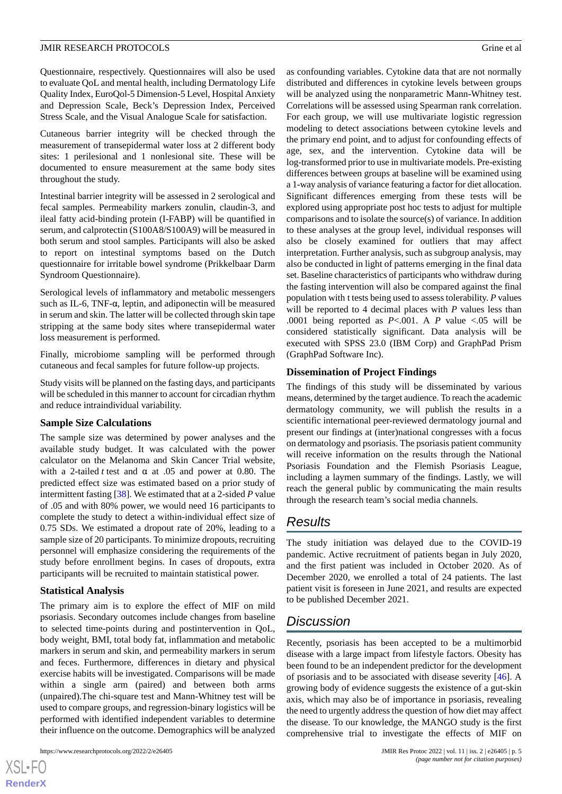Questionnaire, respectively. Questionnaires will also be used to evaluate QoL and mental health, including Dermatology Life Quality Index, EuroQol-5 Dimension-5 Level, Hospital Anxiety and Depression Scale, Beck's Depression Index, Perceived Stress Scale, and the Visual Analogue Scale for satisfaction.

Cutaneous barrier integrity will be checked through the measurement of transepidermal water loss at 2 different body sites: 1 perilesional and 1 nonlesional site. These will be documented to ensure measurement at the same body sites throughout the study.

Intestinal barrier integrity will be assessed in 2 serological and fecal samples. Permeability markers zonulin, claudin-3, and ileal fatty acid-binding protein (I-FABP) will be quantified in serum, and calprotectin (S100A8/S100A9) will be measured in both serum and stool samples. Participants will also be asked to report on intestinal symptoms based on the Dutch questionnaire for irritable bowel syndrome (Prikkelbaar Darm Syndroom Questionnaire).

Serological levels of inflammatory and metabolic messengers such as IL-6, TNF-α, leptin, and adiponectin will be measured in serum and skin. The latter will be collected through skin tape stripping at the same body sites where transepidermal water loss measurement is performed.

Finally, microbiome sampling will be performed through cutaneous and fecal samples for future follow-up projects.

Study visits will be planned on the fasting days, and participants will be scheduled in this manner to account for circadian rhythm and reduce intraindividual variability.

#### **Sample Size Calculations**

The sample size was determined by power analyses and the available study budget. It was calculated with the power calculator on the Melanoma and Skin Cancer Trial website, with a 2-tailed *t* test and  $\alpha$  at .05 and power at 0.80. The predicted effect size was estimated based on a prior study of intermittent fasting [[38\]](#page-7-12). We estimated that at a 2-sided *P* value of .05 and with 80% power, we would need 16 participants to complete the study to detect a within-individual effect size of 0.75 SDs. We estimated a dropout rate of 20%, leading to a sample size of 20 participants. To minimize dropouts, recruiting personnel will emphasize considering the requirements of the study before enrollment begins. In cases of dropouts, extra participants will be recruited to maintain statistical power.

#### **Statistical Analysis**

The primary aim is to explore the effect of MIF on mild psoriasis. Secondary outcomes include changes from baseline to selected time-points during and postintervention in QoL, body weight, BMI, total body fat, inflammation and metabolic markers in serum and skin, and permeability markers in serum and feces. Furthermore, differences in dietary and physical exercise habits will be investigated. Comparisons will be made within a single arm (paired) and between both arms (unpaired).The chi-square test and Mann-Whitney test will be used to compare groups, and regression-binary logistics will be performed with identified independent variables to determine their influence on the outcome. Demographics will be analyzed

 $XS$  • FC **[RenderX](http://www.renderx.com/)** as confounding variables. Cytokine data that are not normally distributed and differences in cytokine levels between groups will be analyzed using the nonparametric Mann-Whitney test. Correlations will be assessed using Spearman rank correlation. For each group, we will use multivariate logistic regression modeling to detect associations between cytokine levels and the primary end point, and to adjust for confounding effects of age, sex, and the intervention. Cytokine data will be log-transformed prior to use in multivariate models. Pre-existing differences between groups at baseline will be examined using a 1-way analysis of variance featuring a factor for diet allocation. Significant differences emerging from these tests will be explored using appropriate post hoc tests to adjust for multiple comparisons and to isolate the source(s) of variance. In addition to these analyses at the group level, individual responses will also be closely examined for outliers that may affect interpretation. Further analysis, such as subgroup analysis, may also be conducted in light of patterns emerging in the final data set. Baseline characteristics of participants who withdraw during the fasting intervention will also be compared against the final population with t tests being used to assess tolerability. *P* values will be reported to 4 decimal places with *P* values less than .0001 being reported as *P*<.001. A *P* value <.05 will be considered statistically significant. Data analysis will be executed with SPSS 23.0 (IBM Corp) and GraphPad Prism (GraphPad Software Inc).

#### **Dissemination of Project Findings**

The findings of this study will be disseminated by various means, determined by the target audience. To reach the academic dermatology community, we will publish the results in a scientific international peer-reviewed dermatology journal and present our findings at (inter)national congresses with a focus on dermatology and psoriasis. The psoriasis patient community will receive information on the results through the National Psoriasis Foundation and the Flemish Psoriasis League, including a laymen summary of the findings. Lastly, we will reach the general public by communicating the main results through the research team's social media channels.

# *Results*

The study initiation was delayed due to the COVID-19 pandemic. Active recruitment of patients began in July 2020, and the first patient was included in October 2020. As of December 2020, we enrolled a total of 24 patients. The last patient visit is foreseen in June 2021, and results are expected to be published December 2021.

# *Discussion*

Recently, psoriasis has been accepted to be a multimorbid disease with a large impact from lifestyle factors. Obesity has been found to be an independent predictor for the development of psoriasis and to be associated with disease severity [[46\]](#page-7-18). A growing body of evidence suggests the existence of a gut-skin axis, which may also be of importance in psoriasis, revealing the need to urgently address the question of how diet may affect the disease. To our knowledge, the MANGO study is the first comprehensive trial to investigate the effects of MIF on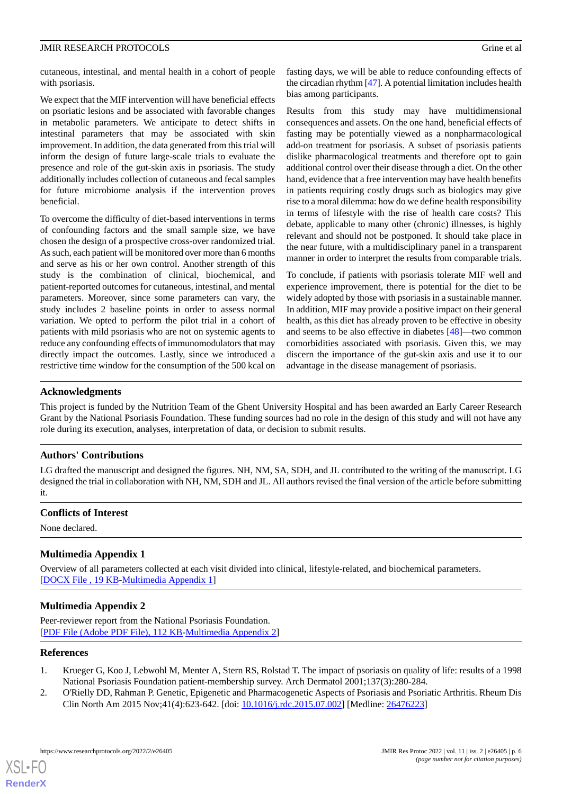cutaneous, intestinal, and mental health in a cohort of people with psoriasis.

We expect that the MIF intervention will have beneficial effects on psoriatic lesions and be associated with favorable changes in metabolic parameters. We anticipate to detect shifts in intestinal parameters that may be associated with skin improvement. In addition, the data generated from this trial will inform the design of future large-scale trials to evaluate the presence and role of the gut-skin axis in psoriasis. The study additionally includes collection of cutaneous and fecal samples for future microbiome analysis if the intervention proves beneficial.

To overcome the difficulty of diet-based interventions in terms of confounding factors and the small sample size, we have chosen the design of a prospective cross-over randomized trial. As such, each patient will be monitored over more than 6 months and serve as his or her own control. Another strength of this study is the combination of clinical, biochemical, and patient-reported outcomes for cutaneous, intestinal, and mental parameters. Moreover, since some parameters can vary, the study includes 2 baseline points in order to assess normal variation. We opted to perform the pilot trial in a cohort of patients with mild psoriasis who are not on systemic agents to reduce any confounding effects of immunomodulators that may directly impact the outcomes. Lastly, since we introduced a restrictive time window for the consumption of the 500 kcal on

fasting days, we will be able to reduce confounding effects of the circadian rhythm [[47\]](#page-7-19). A potential limitation includes health bias among participants.

Results from this study may have multidimensional consequences and assets. On the one hand, beneficial effects of fasting may be potentially viewed as a nonpharmacological add-on treatment for psoriasis. A subset of psoriasis patients dislike pharmacological treatments and therefore opt to gain additional control over their disease through a diet. On the other hand, evidence that a free intervention may have health benefits in patients requiring costly drugs such as biologics may give rise to a moral dilemma: how do we define health responsibility in terms of lifestyle with the rise of health care costs? This debate, applicable to many other (chronic) illnesses, is highly relevant and should not be postponed. It should take place in the near future, with a multidisciplinary panel in a transparent manner in order to interpret the results from comparable trials.

To conclude, if patients with psoriasis tolerate MIF well and experience improvement, there is potential for the diet to be widely adopted by those with psoriasis in a sustainable manner. In addition, MIF may provide a positive impact on their general health, as this diet has already proven to be effective in obesity and seems to be also effective in diabetes [[48\]](#page-8-0)—two common comorbidities associated with psoriasis. Given this, we may discern the importance of the gut-skin axis and use it to our advantage in the disease management of psoriasis.

#### **Acknowledgments**

This project is funded by the Nutrition Team of the Ghent University Hospital and has been awarded an Early Career Research Grant by the National Psoriasis Foundation. These funding sources had no role in the design of this study and will not have any role during its execution, analyses, interpretation of data, or decision to submit results.

#### **Authors' Contributions**

LG drafted the manuscript and designed the figures. NH, NM, SA, SDH, and JL contributed to the writing of the manuscript. LG designed the trial in collaboration with NH, NM, SDH and JL. All authors revised the final version of the article before submitting it.

#### <span id="page-5-2"></span>**Conflicts of Interest**

None declared.

#### **Multimedia Appendix 1**

Overview of all parameters collected at each visit divided into clinical, lifestyle-related, and biochemical parameters. [[DOCX File , 19 KB](https://jmir.org/api/download?alt_name=resprot_v11i2e26405_app1.docx&filename=d1ef147cec709690cf4abb5df36f2815.docx)-[Multimedia Appendix 1\]](https://jmir.org/api/download?alt_name=resprot_v11i2e26405_app1.docx&filename=d1ef147cec709690cf4abb5df36f2815.docx)

#### <span id="page-5-0"></span>**Multimedia Appendix 2**

<span id="page-5-1"></span>Peer-reviewer report from the National Psoriasis Foundation. [[PDF File \(Adobe PDF File\), 112 KB](https://jmir.org/api/download?alt_name=resprot_v11i2e26405_app2.pdf&filename=40c557f7056c3d903dc897b3e17ced5c.pdf)-[Multimedia Appendix 2\]](https://jmir.org/api/download?alt_name=resprot_v11i2e26405_app2.pdf&filename=40c557f7056c3d903dc897b3e17ced5c.pdf)

#### **References**

[XSL](http://www.w3.org/Style/XSL)•FO **[RenderX](http://www.renderx.com/)**

- 1. Krueger G, Koo J, Lebwohl M, Menter A, Stern RS, Rolstad T. The impact of psoriasis on quality of life: results of a 1998 National Psoriasis Foundation patient-membership survey. Arch Dermatol 2001;137(3):280-284.
- 2. O'Rielly DD, Rahman P. Genetic, Epigenetic and Pharmacogenetic Aspects of Psoriasis and Psoriatic Arthritis. Rheum Dis Clin North Am 2015 Nov;41(4):623-642. [doi: [10.1016/j.rdc.2015.07.002\]](http://dx.doi.org/10.1016/j.rdc.2015.07.002) [Medline: [26476223\]](http://www.ncbi.nlm.nih.gov/entrez/query.fcgi?cmd=Retrieve&db=PubMed&list_uids=26476223&dopt=Abstract)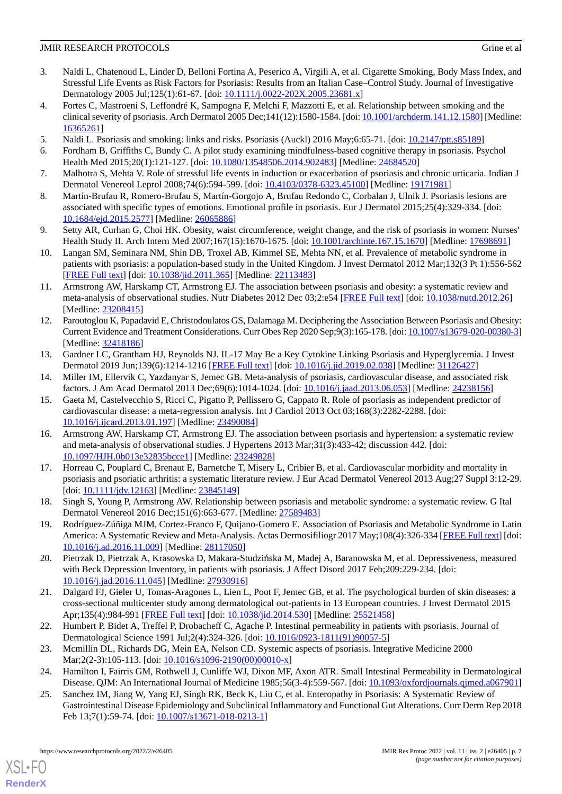- <span id="page-6-0"></span>3. Naldi L, Chatenoud L, Linder D, Belloni Fortina A, Peserico A, Virgili A, et al. Cigarette Smoking, Body Mass Index, and Stressful Life Events as Risk Factors for Psoriasis: Results from an Italian Case–Control Study. Journal of Investigative Dermatology 2005 Jul;125(1):61-67. [doi: [10.1111/j.0022-202X.2005.23681.x\]](http://dx.doi.org/10.1111/j.0022-202X.2005.23681.x)
- 4. Fortes C, Mastroeni S, Leffondré K, Sampogna F, Melchi F, Mazzotti E, et al. Relationship between smoking and the clinical severity of psoriasis. Arch Dermatol 2005 Dec;141(12):1580-1584. [doi: [10.1001/archderm.141.12.1580](http://dx.doi.org/10.1001/archderm.141.12.1580)] [Medline: [16365261](http://www.ncbi.nlm.nih.gov/entrez/query.fcgi?cmd=Retrieve&db=PubMed&list_uids=16365261&dopt=Abstract)]
- 5. Naldi L. Psoriasis and smoking: links and risks. Psoriasis (Auckl) 2016 May;6:65-71. [doi: [10.2147/ptt.s85189\]](http://dx.doi.org/10.2147/ptt.s85189)
- 6. Fordham B, Griffiths C, Bundy C. A pilot study examining mindfulness-based cognitive therapy in psoriasis. Psychol Health Med 2015;20(1):121-127. [doi: [10.1080/13548506.2014.902483\]](http://dx.doi.org/10.1080/13548506.2014.902483) [Medline: [24684520\]](http://www.ncbi.nlm.nih.gov/entrez/query.fcgi?cmd=Retrieve&db=PubMed&list_uids=24684520&dopt=Abstract)
- 7. Malhotra S, Mehta V. Role of stressful life events in induction or exacerbation of psoriasis and chronic urticaria. Indian J Dermatol Venereol Leprol 2008;74(6):594-599. [doi: [10.4103/0378-6323.45100](http://dx.doi.org/10.4103/0378-6323.45100)] [Medline: [19171981\]](http://www.ncbi.nlm.nih.gov/entrez/query.fcgi?cmd=Retrieve&db=PubMed&list_uids=19171981&dopt=Abstract)
- 8. Martín-Brufau R, Romero-Brufau S, Martín-Gorgojo A, Brufau Redondo C, Corbalan J, Ulnik J. Psoriasis lesions are associated with specific types of emotions. Emotional profile in psoriasis. Eur J Dermatol 2015;25(4):329-334. [doi: [10.1684/ejd.2015.2577](http://dx.doi.org/10.1684/ejd.2015.2577)] [Medline: [26065886\]](http://www.ncbi.nlm.nih.gov/entrez/query.fcgi?cmd=Retrieve&db=PubMed&list_uids=26065886&dopt=Abstract)
- 9. Setty AR, Curhan G, Choi HK. Obesity, waist circumference, weight change, and the risk of psoriasis in women: Nurses' Health Study II. Arch Intern Med 2007;167(15):1670-1675. [doi: [10.1001/archinte.167.15.1670\]](http://dx.doi.org/10.1001/archinte.167.15.1670) [Medline: [17698691\]](http://www.ncbi.nlm.nih.gov/entrez/query.fcgi?cmd=Retrieve&db=PubMed&list_uids=17698691&dopt=Abstract)
- <span id="page-6-1"></span>10. Langan SM, Seminara NM, Shin DB, Troxel AB, Kimmel SE, Mehta NN, et al. Prevalence of metabolic syndrome in patients with psoriasis: a population-based study in the United Kingdom. J Invest Dermatol 2012 Mar;132(3 Pt 1):556-562 [[FREE Full text](https://linkinghub.elsevier.com/retrieve/pii/S0022-202X(15)35671-2)] [doi: [10.1038/jid.2011.365](http://dx.doi.org/10.1038/jid.2011.365)] [Medline: [22113483](http://www.ncbi.nlm.nih.gov/entrez/query.fcgi?cmd=Retrieve&db=PubMed&list_uids=22113483&dopt=Abstract)]
- <span id="page-6-2"></span>11. Armstrong AW, Harskamp CT, Armstrong EJ. The association between psoriasis and obesity: a systematic review and meta-analysis of observational studies. Nutr Diabetes 2012 Dec 03;2:e54 [[FREE Full text](https://doi.org/10.1038/nutd.2012.26)] [doi: [10.1038/nutd.2012.26\]](http://dx.doi.org/10.1038/nutd.2012.26) [Medline: [23208415](http://www.ncbi.nlm.nih.gov/entrez/query.fcgi?cmd=Retrieve&db=PubMed&list_uids=23208415&dopt=Abstract)]
- <span id="page-6-3"></span>12. Paroutoglou K, Papadavid E, Christodoulatos GS, Dalamaga M. Deciphering the Association Between Psoriasis and Obesity: Current Evidence and Treatment Considerations. Curr Obes Rep 2020 Sep;9(3):165-178. [doi: [10.1007/s13679-020-00380-3\]](http://dx.doi.org/10.1007/s13679-020-00380-3) [Medline: [32418186](http://www.ncbi.nlm.nih.gov/entrez/query.fcgi?cmd=Retrieve&db=PubMed&list_uids=32418186&dopt=Abstract)]
- <span id="page-6-4"></span>13. Gardner LC, Grantham HJ, Reynolds NJ. IL-17 May Be a Key Cytokine Linking Psoriasis and Hyperglycemia. J Invest Dermatol 2019 Jun;139(6):1214-1216 [[FREE Full text\]](https://linkinghub.elsevier.com/retrieve/pii/S0022-202X(19)31482-4) [doi: [10.1016/j.jid.2019.02.038\]](http://dx.doi.org/10.1016/j.jid.2019.02.038) [Medline: [31126427\]](http://www.ncbi.nlm.nih.gov/entrez/query.fcgi?cmd=Retrieve&db=PubMed&list_uids=31126427&dopt=Abstract)
- 14. Miller IM, Ellervik C, Yazdanyar S, Jemec GB. Meta-analysis of psoriasis, cardiovascular disease, and associated risk factors. J Am Acad Dermatol 2013 Dec;69(6):1014-1024. [doi: [10.1016/j.jaad.2013.06.053\]](http://dx.doi.org/10.1016/j.jaad.2013.06.053) [Medline: [24238156](http://www.ncbi.nlm.nih.gov/entrez/query.fcgi?cmd=Retrieve&db=PubMed&list_uids=24238156&dopt=Abstract)]
- 15. Gaeta M, Castelvecchio S, Ricci C, Pigatto P, Pellissero G, Cappato R. Role of psoriasis as independent predictor of cardiovascular disease: a meta-regression analysis. Int J Cardiol 2013 Oct 03;168(3):2282-2288. [doi: [10.1016/j.ijcard.2013.01.197](http://dx.doi.org/10.1016/j.ijcard.2013.01.197)] [Medline: [23490084](http://www.ncbi.nlm.nih.gov/entrez/query.fcgi?cmd=Retrieve&db=PubMed&list_uids=23490084&dopt=Abstract)]
- 16. Armstrong AW, Harskamp CT, Armstrong EJ. The association between psoriasis and hypertension: a systematic review and meta-analysis of observational studies. J Hypertens 2013 Mar;31(3):433-42; discussion 442. [doi: [10.1097/HJH.0b013e32835bcce1](http://dx.doi.org/10.1097/HJH.0b013e32835bcce1)] [Medline: [23249828](http://www.ncbi.nlm.nih.gov/entrez/query.fcgi?cmd=Retrieve&db=PubMed&list_uids=23249828&dopt=Abstract)]
- 17. Horreau C, Pouplard C, Brenaut E, Barnetche T, Misery L, Cribier B, et al. Cardiovascular morbidity and mortality in psoriasis and psoriatic arthritis: a systematic literature review. J Eur Acad Dermatol Venereol 2013 Aug;27 Suppl 3:12-29. [doi: [10.1111/jdv.12163\]](http://dx.doi.org/10.1111/jdv.12163) [Medline: [23845149\]](http://www.ncbi.nlm.nih.gov/entrez/query.fcgi?cmd=Retrieve&db=PubMed&list_uids=23845149&dopt=Abstract)
- 18. Singh S, Young P, Armstrong AW. Relationship between psoriasis and metabolic syndrome: a systematic review. G Ital Dermatol Venereol 2016 Dec;151(6):663-677. [Medline: [27589483\]](http://www.ncbi.nlm.nih.gov/entrez/query.fcgi?cmd=Retrieve&db=PubMed&list_uids=27589483&dopt=Abstract)
- 19. Rodríguez-Zúñiga MJM, Cortez-Franco F, Quijano-Gomero E. Association of Psoriasis and Metabolic Syndrome in Latin America: A Systematic Review and Meta-Analysis. Actas Dermosifiliogr 2017 May;108(4):326-334 [\[FREE Full text\]](https://www.elsevier.es/en/linksolver/pdf/pii/S0001-7310(16)30436-7) [doi: [10.1016/j.ad.2016.11.009](http://dx.doi.org/10.1016/j.ad.2016.11.009)] [Medline: [28117050\]](http://www.ncbi.nlm.nih.gov/entrez/query.fcgi?cmd=Retrieve&db=PubMed&list_uids=28117050&dopt=Abstract)
- 20. Pietrzak D, Pietrzak A, Krasowska D, Makara-Studzińska M, Madej A, Baranowska M, et al. Depressiveness, measured with Beck Depression Inventory, in patients with psoriasis. J Affect Disord 2017 Feb;209:229-234. [doi: [10.1016/j.jad.2016.11.045\]](http://dx.doi.org/10.1016/j.jad.2016.11.045) [Medline: [27930916\]](http://www.ncbi.nlm.nih.gov/entrez/query.fcgi?cmd=Retrieve&db=PubMed&list_uids=27930916&dopt=Abstract)
- <span id="page-6-6"></span>21. Dalgard FJ, Gieler U, Tomas-Aragones L, Lien L, Poot F, Jemec GB, et al. The psychological burden of skin diseases: a cross-sectional multicenter study among dermatological out-patients in 13 European countries. J Invest Dermatol 2015 Apr;135(4):984-991 [\[FREE Full text\]](https://linkinghub.elsevier.com/retrieve/pii/S0022-202X(15)37179-7) [doi: [10.1038/jid.2014.530\]](http://dx.doi.org/10.1038/jid.2014.530) [Medline: [25521458\]](http://www.ncbi.nlm.nih.gov/entrez/query.fcgi?cmd=Retrieve&db=PubMed&list_uids=25521458&dopt=Abstract)
- <span id="page-6-5"></span>22. Humbert P, Bidet A, Treffel P, Drobacheff C, Agache P. Intestinal permeability in patients with psoriasis. Journal of Dermatological Science 1991 Jul;2(4):324-326. [doi: [10.1016/0923-1811\(91\)90057-5\]](http://dx.doi.org/10.1016/0923-1811(91)90057-5)
- 23. Mcmillin DL, Richards DG, Mein EA, Nelson CD. Systemic aspects of psoriasis. Integrative Medicine 2000 Mar; 2(2-3): 105-113. [doi: [10.1016/s1096-2190\(00\)00010-x\]](http://dx.doi.org/10.1016/s1096-2190(00)00010-x)
- 24. Hamilton I, Fairris GM, Rothwell J, Cunliffe WJ, Dixon MF, Axon ATR. Small Intestinal Permeability in Dermatological Disease. QJM: An International Journal of Medicine 1985;56(3-4):559-567. [doi: [10.1093/oxfordjournals.qjmed.a067901](http://dx.doi.org/10.1093/oxfordjournals.qjmed.a067901)]
- 25. Sanchez IM, Jiang W, Yang EJ, Singh RK, Beck K, Liu C, et al. Enteropathy in Psoriasis: A Systematic Review of Gastrointestinal Disease Epidemiology and Subclinical Inflammatory and Functional Gut Alterations. Curr Derm Rep 2018 Feb 13;7(1):59-74. [doi: [10.1007/s13671-018-0213-1](http://dx.doi.org/10.1007/s13671-018-0213-1)]

[XSL](http://www.w3.org/Style/XSL)•FO **[RenderX](http://www.renderx.com/)**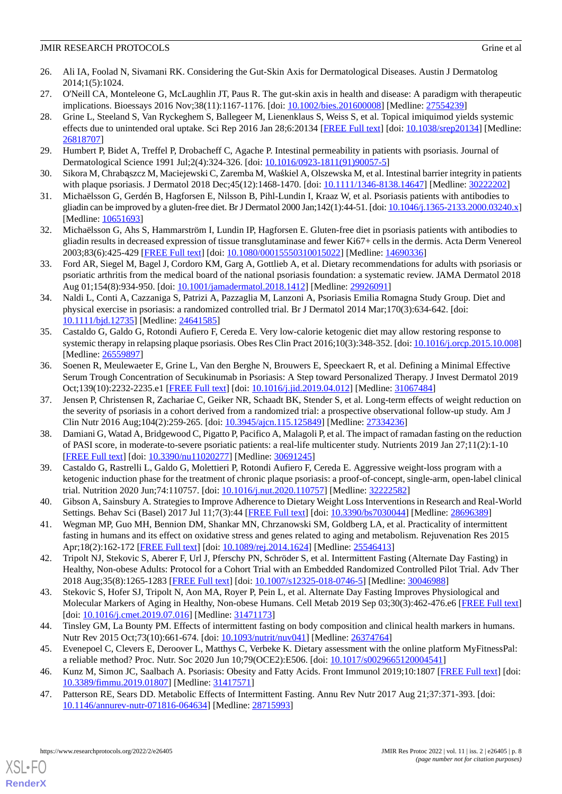- <span id="page-7-0"></span>26. Ali IA, Foolad N, Sivamani RK. Considering the Gut-Skin Axis for Dermatological Diseases. Austin J Dermatolog 2014;1(5):1024.
- <span id="page-7-2"></span><span id="page-7-1"></span>27. O'Neill CA, Monteleone G, McLaughlin JT, Paus R. The gut-skin axis in health and disease: A paradigm with therapeutic implications. Bioessays 2016 Nov;38(11):1167-1176. [doi: [10.1002/bies.201600008\]](http://dx.doi.org/10.1002/bies.201600008) [Medline: [27554239\]](http://www.ncbi.nlm.nih.gov/entrez/query.fcgi?cmd=Retrieve&db=PubMed&list_uids=27554239&dopt=Abstract)
- 28. Grine L, Steeland S, Van Ryckeghem S, Ballegeer M, Lienenklaus S, Weiss S, et al. Topical imiquimod yields systemic effects due to unintended oral uptake. Sci Rep 2016 Jan 28;6:20134 [[FREE Full text](https://doi.org/10.1038/srep20134)] [doi: [10.1038/srep20134](http://dx.doi.org/10.1038/srep20134)] [Medline: [26818707](http://www.ncbi.nlm.nih.gov/entrez/query.fcgi?cmd=Retrieve&db=PubMed&list_uids=26818707&dopt=Abstract)]
- <span id="page-7-4"></span><span id="page-7-3"></span>29. Humbert P, Bidet A, Treffel P, Drobacheff C, Agache P. Intestinal permeability in patients with psoriasis. Journal of Dermatological Science 1991 Jul;2(4):324-326. [doi: [10.1016/0923-1811\(91\)90057-5\]](http://dx.doi.org/10.1016/0923-1811(91)90057-5)
- <span id="page-7-5"></span>30. Sikora M, Chrabąszcz M, Maciejewski C, Zaremba M, Waśkiel A, Olszewska M, et al. Intestinal barrier integrity in patients with plaque psoriasis. J Dermatol 2018 Dec;45(12):1468-1470. [doi: [10.1111/1346-8138.14647](http://dx.doi.org/10.1111/1346-8138.14647)] [Medline: [30222202](http://www.ncbi.nlm.nih.gov/entrez/query.fcgi?cmd=Retrieve&db=PubMed&list_uids=30222202&dopt=Abstract)]
- <span id="page-7-6"></span>31. Michaëlsson G, Gerdén B, Hagforsen E, Nilsson B, Pihl-Lundin I, Kraaz W, et al. Psoriasis patients with antibodies to gliadin can be improved by a gluten-free diet. Br J Dermatol 2000 Jan;142(1):44-51. [doi: [10.1046/j.1365-2133.2000.03240.x\]](http://dx.doi.org/10.1046/j.1365-2133.2000.03240.x) [Medline: [10651693](http://www.ncbi.nlm.nih.gov/entrez/query.fcgi?cmd=Retrieve&db=PubMed&list_uids=10651693&dopt=Abstract)]
- <span id="page-7-7"></span>32. Michaëlsson G, Ahs S, Hammarström I, Lundin IP, Hagforsen E. Gluten-free diet in psoriasis patients with antibodies to gliadin results in decreased expression of tissue transglutaminase and fewer Ki67+ cells in the dermis. Acta Derm Venereol 2003;83(6):425-429 [[FREE Full text](https://www.medicaljournals.se/acta/content/abstract/10.1080/00015550310015022)] [doi: [10.1080/00015550310015022\]](http://dx.doi.org/10.1080/00015550310015022) [Medline: [14690336\]](http://www.ncbi.nlm.nih.gov/entrez/query.fcgi?cmd=Retrieve&db=PubMed&list_uids=14690336&dopt=Abstract)
- <span id="page-7-8"></span>33. Ford AR, Siegel M, Bagel J, Cordoro KM, Garg A, Gottlieb A, et al. Dietary recommendations for adults with psoriasis or psoriatic arthritis from the medical board of the national psoriasis foundation: a systematic review. JAMA Dermatol 2018 Aug 01;154(8):934-950. [doi: [10.1001/jamadermatol.2018.1412\]](http://dx.doi.org/10.1001/jamadermatol.2018.1412) [Medline: [29926091](http://www.ncbi.nlm.nih.gov/entrez/query.fcgi?cmd=Retrieve&db=PubMed&list_uids=29926091&dopt=Abstract)]
- <span id="page-7-9"></span>34. Naldi L, Conti A, Cazzaniga S, Patrizi A, Pazzaglia M, Lanzoni A, Psoriasis Emilia Romagna Study Group. Diet and physical exercise in psoriasis: a randomized controlled trial. Br J Dermatol 2014 Mar;170(3):634-642. [doi: [10.1111/bjd.12735](http://dx.doi.org/10.1111/bjd.12735)] [Medline: [24641585\]](http://www.ncbi.nlm.nih.gov/entrez/query.fcgi?cmd=Retrieve&db=PubMed&list_uids=24641585&dopt=Abstract)
- <span id="page-7-10"></span>35. Castaldo G, Galdo G, Rotondi Aufiero F, Cereda E. Very low-calorie ketogenic diet may allow restoring response to systemic therapy in relapsing plaque psoriasis. Obes Res Clin Pract 2016;10(3):348-352. [doi: [10.1016/j.orcp.2015.10.008](http://dx.doi.org/10.1016/j.orcp.2015.10.008)] [Medline: [26559897](http://www.ncbi.nlm.nih.gov/entrez/query.fcgi?cmd=Retrieve&db=PubMed&list_uids=26559897&dopt=Abstract)]
- <span id="page-7-11"></span>36. Soenen R, Meulewaeter E, Grine L, Van den Berghe N, Brouwers E, Speeckaert R, et al. Defining a Minimal Effective Serum Trough Concentration of Secukinumab in Psoriasis: A Step toward Personalized Therapy. J Invest Dermatol 2019 Oct;139(10):2232-2235.e1 [\[FREE Full text\]](https://linkinghub.elsevier.com/retrieve/pii/S0022-202X(19)31504-0) [doi: [10.1016/j.jid.2019.04.012](http://dx.doi.org/10.1016/j.jid.2019.04.012)] [Medline: [31067484](http://www.ncbi.nlm.nih.gov/entrez/query.fcgi?cmd=Retrieve&db=PubMed&list_uids=31067484&dopt=Abstract)]
- <span id="page-7-12"></span>37. Jensen P, Christensen R, Zachariae C, Geiker NR, Schaadt BK, Stender S, et al. Long-term effects of weight reduction on the severity of psoriasis in a cohort derived from a randomized trial: a prospective observational follow-up study. Am J Clin Nutr 2016 Aug;104(2):259-265. [doi: [10.3945/ajcn.115.125849\]](http://dx.doi.org/10.3945/ajcn.115.125849) [Medline: [27334236](http://www.ncbi.nlm.nih.gov/entrez/query.fcgi?cmd=Retrieve&db=PubMed&list_uids=27334236&dopt=Abstract)]
- <span id="page-7-13"></span>38. Damiani G, Watad A, Bridgewood C, Pigatto P, Pacifico A, Malagoli P, et al. The impact of ramadan fasting on the reduction of PASI score, in moderate-to-severe psoriatic patients: a real-life multicenter study. Nutrients 2019 Jan 27;11(2):1-10 [[FREE Full text](https://www.mdpi.com/resolver?pii=nu11020277)] [doi: [10.3390/nu11020277\]](http://dx.doi.org/10.3390/nu11020277) [Medline: [30691245](http://www.ncbi.nlm.nih.gov/entrez/query.fcgi?cmd=Retrieve&db=PubMed&list_uids=30691245&dopt=Abstract)]
- <span id="page-7-15"></span><span id="page-7-14"></span>39. Castaldo G, Rastrelli L, Galdo G, Molettieri P, Rotondi Aufiero F, Cereda E. Aggressive weight-loss program with a ketogenic induction phase for the treatment of chronic plaque psoriasis: a proof-of-concept, single-arm, open-label clinical trial. Nutrition 2020 Jun;74:110757. [doi: [10.1016/j.nut.2020.110757\]](http://dx.doi.org/10.1016/j.nut.2020.110757) [Medline: [32222582](http://www.ncbi.nlm.nih.gov/entrez/query.fcgi?cmd=Retrieve&db=PubMed&list_uids=32222582&dopt=Abstract)]
- 40. Gibson A, Sainsbury A. Strategies to Improve Adherence to Dietary Weight Loss Interventions in Research and Real-World Settings. Behav Sci (Basel) 2017 Jul 11;7(3):44 [[FREE Full text](https://www.mdpi.com/resolver?pii=bs7030044)] [doi: [10.3390/bs7030044\]](http://dx.doi.org/10.3390/bs7030044) [Medline: [28696389\]](http://www.ncbi.nlm.nih.gov/entrez/query.fcgi?cmd=Retrieve&db=PubMed&list_uids=28696389&dopt=Abstract)
- 41. Wegman MP, Guo MH, Bennion DM, Shankar MN, Chrzanowski SM, Goldberg LA, et al. Practicality of intermittent fasting in humans and its effect on oxidative stress and genes related to aging and metabolism. Rejuvenation Res 2015 Apr;18(2):162-172 [\[FREE Full text\]](http://europepmc.org/abstract/MED/25546413) [doi: [10.1089/rej.2014.1624\]](http://dx.doi.org/10.1089/rej.2014.1624) [Medline: [25546413\]](http://www.ncbi.nlm.nih.gov/entrez/query.fcgi?cmd=Retrieve&db=PubMed&list_uids=25546413&dopt=Abstract)
- <span id="page-7-16"></span>42. Tripolt NJ, Stekovic S, Aberer F, Url J, Pferschy PN, Schröder S, et al. Intermittent Fasting (Alternate Day Fasting) in Healthy, Non-obese Adults: Protocol for a Cohort Trial with an Embedded Randomized Controlled Pilot Trial. Adv Ther 2018 Aug;35(8):1265-1283 [[FREE Full text](http://europepmc.org/abstract/MED/30046988)] [doi: [10.1007/s12325-018-0746-5](http://dx.doi.org/10.1007/s12325-018-0746-5)] [Medline: [30046988](http://www.ncbi.nlm.nih.gov/entrez/query.fcgi?cmd=Retrieve&db=PubMed&list_uids=30046988&dopt=Abstract)]
- <span id="page-7-18"></span><span id="page-7-17"></span>43. Stekovic S, Hofer SJ, Tripolt N, Aon MA, Royer P, Pein L, et al. Alternate Day Fasting Improves Physiological and Molecular Markers of Aging in Healthy, Non-obese Humans. Cell Metab 2019 Sep 03;30(3):462-476.e6 [\[FREE Full text](https://linkinghub.elsevier.com/retrieve/pii/S1550-4131(19)30429-2)] [doi: [10.1016/j.cmet.2019.07.016](http://dx.doi.org/10.1016/j.cmet.2019.07.016)] [Medline: [31471173](http://www.ncbi.nlm.nih.gov/entrez/query.fcgi?cmd=Retrieve&db=PubMed&list_uids=31471173&dopt=Abstract)]
- <span id="page-7-19"></span>44. Tinsley GM, La Bounty PM. Effects of intermittent fasting on body composition and clinical health markers in humans. Nutr Rev 2015 Oct;73(10):661-674. [doi: [10.1093/nutrit/nuv041](http://dx.doi.org/10.1093/nutrit/nuv041)] [Medline: [26374764](http://www.ncbi.nlm.nih.gov/entrez/query.fcgi?cmd=Retrieve&db=PubMed&list_uids=26374764&dopt=Abstract)]
- 45. Evenepoel C, Clevers E, Deroover L, Matthys C, Verbeke K. Dietary assessment with the online platform MyFitnessPal: a reliable method? Proc. Nutr. Soc 2020 Jun 10;79(OCE2):E506. [doi: [10.1017/s0029665120004541](http://dx.doi.org/10.1017/s0029665120004541)]
- 46. Kunz M, Simon JC, Saalbach A. Psoriasis: Obesity and Fatty Acids. Front Immunol 2019;10:1807 [[FREE Full text](https://doi.org/10.3389/fimmu.2019.01807)] [doi: [10.3389/fimmu.2019.01807](http://dx.doi.org/10.3389/fimmu.2019.01807)] [Medline: [31417571](http://www.ncbi.nlm.nih.gov/entrez/query.fcgi?cmd=Retrieve&db=PubMed&list_uids=31417571&dopt=Abstract)]
- 47. Patterson RE, Sears DD. Metabolic Effects of Intermittent Fasting. Annu Rev Nutr 2017 Aug 21;37:371-393. [doi: [10.1146/annurev-nutr-071816-064634\]](http://dx.doi.org/10.1146/annurev-nutr-071816-064634) [Medline: [28715993](http://www.ncbi.nlm.nih.gov/entrez/query.fcgi?cmd=Retrieve&db=PubMed&list_uids=28715993&dopt=Abstract)]

[XSL](http://www.w3.org/Style/XSL)•FO **[RenderX](http://www.renderx.com/)**